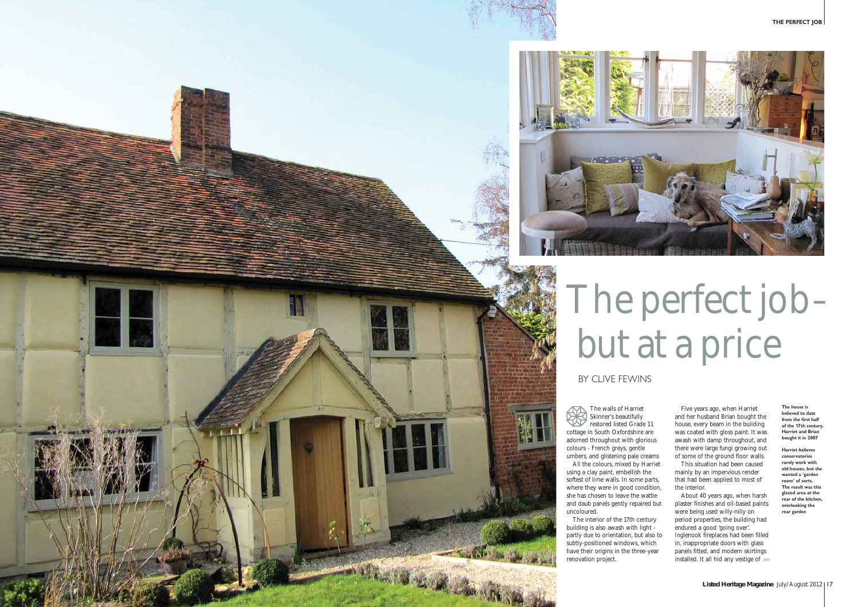



The walls of Harriet Skinner's beautifully restored listed Grade 11 cottage in South Oxfordshire are adorned throughout with glorious colours - French greys, gentle umbers, and glistening pale creams

All the colours, mixed by Harriet using a clay paint, embellish the softest of lime walls. In some parts, where they were in good condition, she has chosen to leave the wattle and daub panels gently repaired but uncoloured.

About 40 years ago, when harsh plaster finishes and oil-based paints were being used willy-nilly on period properties, the building had endured a good 'going over'. Inglenook fireplaces had been filled in, inappropriate doors with glass panels fitted, and modern skirtings installed. It all hid any vestige of  $\implies$ 

The interior of the 17th century building is also awash with light partly due to orientation, but also to subtly-positioned windows, which have their origins in the three-year renovation project.

# The perfect job– but at a price

BY CLIVE FEWINS

Five years ago, when Harriet and her husband Brian bought the house, every beam in the building was coated with gloss paint. It was awash with damp throughout, and there were large fungi growing out of some of the ground floor walls.

This situation had been caused mainly by an impervious render that had been applied to most of the interior.

**The house is believed to date from the first half of the 17th century. Harriet and Brian bought it in 2007**

**Harriet believes conservatories rarely work with old houses, but she wanted a 'garden room' of sorts. The result was this glazed area at the rear of the kitchen, overlooking the rear garden**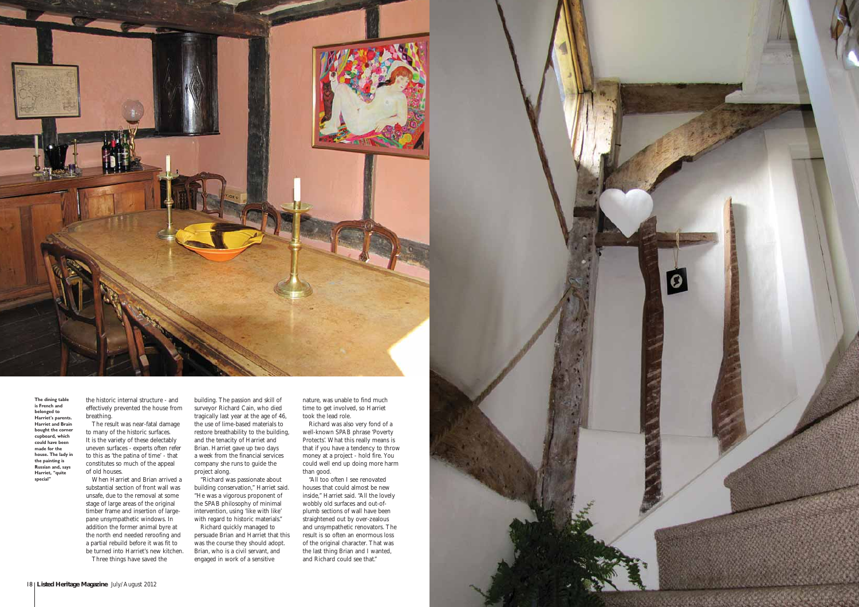the historic internal structure - and effectively prevented the house from breathing.

The result was near-fatal damage to many of the historic surfaces. It is the variety of these delectably uneven surfaces - experts often refer to this as 'the patina of time' - that constitutes so much of the appeal of old houses.

When Harriet and Brian arrived a substantial section of front wall was unsafe, due to the removal at some stage of large areas of the original timber frame and insertion of largepane unsympathetic windows. In addition the former animal byre at the north end needed reroofing and a partial rebuild before it was fit to be turned into Harriet's new kitchen.

Three things have saved the

building. The passion and skill of surveyor Richard Cain, who died tragically last year at the age of 46, the use of lime-based materials to restore breathability to the building, and the tenacity of Harriet and Brian. Harriet gave up two days a week from the financial services company she runs to guide the project along.

"Richard was passionate about building conservation," Harriet said. "He was a vigorous proponent of the SPAB philosophy of minimal intervention, using 'like with like' with regard to historic materials."

Richard quickly managed to persuade Brian and Harriet that this was the course they should adopt. Brian, who is a civil servant, and engaged in work of a sensitive

nature, was unable to find much time to get involved, so Harriet took the lead role.

Richard was also very fond of a well-known SPAB phrase 'Poverty Protects'. What this really means is that if you have a tendency to throw money at a project - hold fire. You could well end up doing more harm than good.

"All too often I see renovated houses that could almost be new inside," Harriet said. "All the lovely wobbly old surfaces and out-ofplumb sections of wall have been straightened out by over-zealous and unsympathetic renovators. The result is so often an enormous loss of the original character. That was the last thing Brian and I wanted, and Richard could see that."





**The dining table is French and belonged to Harriet's parents. Harriet and Brain bought the corner cupboard, which could have been made for the house. The lady in the painting is Russian and, says Harriet, "quite special"**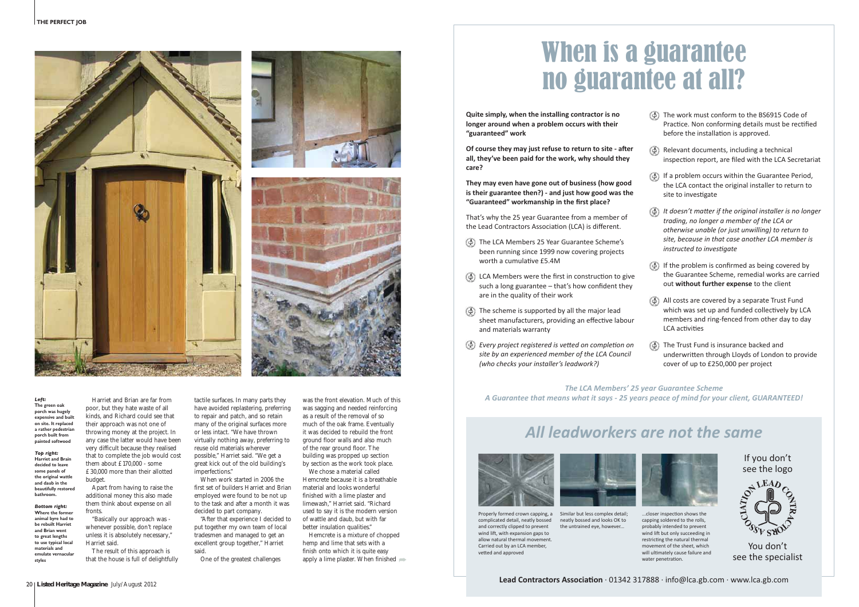



Harriet and Brian are far from poor, but they hate waste of all kinds, and Richard could see that their approach was not one of throwing money at the project. In any case the latter would have been very difficult because they realised that to complete the job would cost them about £170,000 - some £30,000 more than their allotted budget.

Apart from having to raise the additional money this also made them think about expense on all fronts.

"Basically our approach was whenever possible, don't replace unless it is absolutely necessary," Harriet said.

The result of this approach is that the house is full of delightfully

tactile surfaces. In many parts they have avoided replastering, preferring to repair and patch, and so retain many of the original surfaces more or less intact. "We have thrown virtually nothing away, preferring to reuse old materials wherever possible," Harriet said. "We get a great kick out of the old building's imperfections."

When work started in 2006 the first set of builders Harriet and Brian employed were found to be not up to the task and after a month it was decided to part company.

We chose a material called Hemcrete because it is a breathable material and looks wonderful finished with a lime plaster and limewash," Harriet said. "Richard used to say it is the modern version of wattle and daub, but with far better insulation qualities."

Hemcrete is a mixture of chopped hemp and lime that sets with a finish onto which it is quite easy apply a lime plaster. When finished  $\Rightarrow$ 

## When is a guarantee<br>no guarantee at all?  $\frac{1}{\sqrt{10}}$  and  $\frac{1}{\sqrt{10}}$  and  $\frac{1}{\sqrt{10}}$  and  $\frac{1}{\sqrt{10}}$  and  $\frac{1}{\sqrt{10}}$  and  $\frac{1}{\sqrt{10}}$  and  $\frac{1}{\sqrt{10}}$  and  $\frac{1}{\sqrt{10}}$  and  $\frac{1}{\sqrt{10}}$  and  $\frac{1}{\sqrt{10}}$  and  $\frac{1}{\sqrt{10}}$  and  $\frac{1}{\sqrt{10}}$  and  $\frac{1$

"After that experience I decided to put together my own team of local tradesmen and managed to get an excellent group together," Harriet said.

One of the greatest challenges

Of course they may just refuse to return to site - after **all, they've been paid for the work, why should they care?**

### *Left:* **The green oak porch was hugely expensive and built on site. It replaced a rather pedestrian porch built from painted softwood**

*Top right:* **Harriet and Brain decided to leave some panels of the original wattle and daub in the beautifully restored bathroom.** 

*Bottom right:* **Where the former animal byre had to be rebuilt Harriet and Brian went to great lengths to use typical local materials and** emulate vernacula **styles**

was the front elevation. Much of this was sagging and needed reinforcing as a result of the removal of so much of the oak frame. Eventually it was decided to rebuild the front ground floor walls and also much of the rear ground floor. The building was propped up section by section as the work took place.

- The work must conform to the BS6915 Code of Practice. Non conforming details must be rectified before the installation is approved.
- Relevant documents, including a technical inspection report, are filed with the LCA Secretariat
- $\langle \phi \rangle$  If a problem occurs within the Guarantee Period, the LCA contact the original installer to return to site to investigate
- n *It doesn't ma-er if the original installer is no longer trading, no longer a member of the LCA or otherwise unable (or just unwilling) to return to site, because in that case another LCA member is instructed to investigate*
- $\langle \phi \rangle$  If the problem is confirmed as being covered by the Guarantee Scheme, remedial works are carried out **without further expense** to the client
- All costs are covered by a separate Trust Fund which was set up and funded collectively by LCA members and ring-fenced from other day to day LCA activities
- The Trust Fund is insurance backed and underwritten through Lloyds of London to provide cover of up to £250,000 per project



...closer inspection shows the capping soldered to the rolls, probably intended to prevent wind lift but only succeeding in restricting the natural thermal movement of the sheet, which will ultimately cause failure and water nenetration.

**Quite simply, when the installing contractor is no longer around when a problem occurs with their "guaranteed" work**

**They may even have gone out of business (how good is their guarantee then?) - and just how good was the "Guaranteed" workmanship in the first place?**

That's why the 25 year Guarantee from a member of the Lead Contractors Association (LCA) is different.

- n The LCA Members 25 Year Guarantee Scheme's been running since 1999 now covering projects worth a cumulative £5.4M
- $\langle \overline{\Phi} \rangle$  LCA Members were the first in construction to give such a long guarantee – that's how confident they are in the quality of their work
- $\Phi$  The scheme is supported by all the major lead sheet manufacturers, providing an effective labour and materials warranty
- *Every project registered is vetted on completion on site by an experienced member of the LCA Council (who checks your installer's leadwork?)*

*The LCA Members' 25 year Guarantee Scheme A Guarantee that means what it says - 25 years peace of mind for your client, GUARANTEED!*

## *All leadworkers are not the same*





Properly formed crown capping, a complicated detail, neatly bossed and correctly clinned to prevent wind lift, with expansion gaps to allow natural thermal movement. Carried out by an LCA member, vetted and approved

Similar but less complex detail; neatly bossed and looks OK to the untrained eye, however...

If you don't see the logo



You don't see the specialist